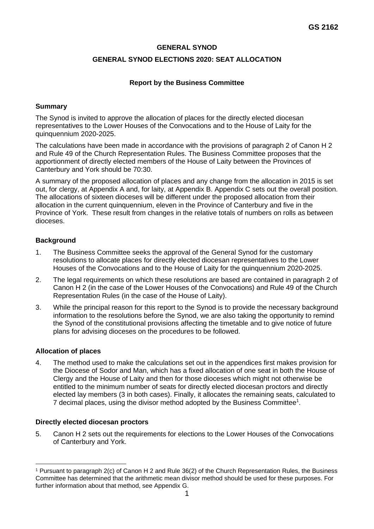## **GENERAL SYNOD**

# **GENERAL SYNOD ELECTIONS 2020: SEAT ALLOCATION**

## **Report by the Business Committee**

#### **Summary**

The Synod is invited to approve the allocation of places for the directly elected diocesan representatives to the Lower Houses of the Convocations and to the House of Laity for the quinquennium 2020-2025.

The calculations have been made in accordance with the provisions of paragraph 2 of Canon H 2 and Rule 49 of the Church Representation Rules. The Business Committee proposes that the apportionment of directly elected members of the House of Laity between the Provinces of Canterbury and York should be 70:30.

A summary of the proposed allocation of places and any change from the allocation in 2015 is set out, for clergy, at Appendix A and, for laity, at Appendix B. Appendix C sets out the overall position. The allocations of sixteen dioceses will be different under the proposed allocation from their allocation in the current quinquennium, eleven in the Province of Canterbury and five in the Province of York. These result from changes in the relative totals of numbers on rolls as between dioceses.

## **Background**

- 1. The Business Committee seeks the approval of the General Synod for the customary resolutions to allocate places for directly elected diocesan representatives to the Lower Houses of the Convocations and to the House of Laity for the quinquennium 2020-2025.
- 2. The legal requirements on which these resolutions are based are contained in paragraph 2 of Canon H 2 (in the case of the Lower Houses of the Convocations) and Rule 49 of the Church Representation Rules (in the case of the House of Laity).
- 3. While the principal reason for this report to the Synod is to provide the necessary background information to the resolutions before the Synod, we are also taking the opportunity to remind the Synod of the constitutional provisions affecting the timetable and to give notice of future plans for advising dioceses on the procedures to be followed.

## **Allocation of places**

4. The method used to make the calculations set out in the appendices first makes provision for the Diocese of Sodor and Man, which has a fixed allocation of one seat in both the House of Clergy and the House of Laity and then for those dioceses which might not otherwise be entitled to the minimum number of seats for directly elected diocesan proctors and directly elected lay members (3 in both cases). Finally, it allocates the remaining seats, calculated to 7 decimal places, using the divisor method adopted by the Business Committee<sup>1</sup>.

#### **Directly elected diocesan proctors**

5. Canon H 2 sets out the requirements for elections to the Lower Houses of the Convocations of Canterbury and York.

<sup>1</sup> Pursuant to paragraph 2(c) of Canon H 2 and Rule 36(2) of the Church Representation Rules, the Business Committee has determined that the arithmetic mean divisor method should be used for these purposes. For further information about that method, see Appendix G.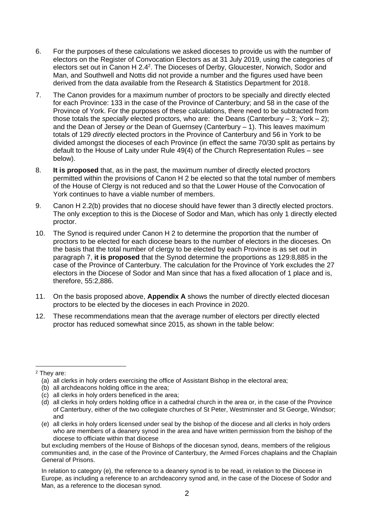- 6. For the purposes of these calculations we asked dioceses to provide us with the number of electors on the Register of Convocation Electors as at 31 July 2019, using the categories of electors set out in Canon H 2.4<sup>2</sup>. The Dioceses of Derby, Gloucester, Norwich, Sodor and Man, and Southwell and Notts did not provide a number and the figures used have been derived from the data available from the Research & Statistics Department for 2018.
- 7. The Canon provides for a maximum number of proctors to be specially and directly elected for each Province: 133 in the case of the Province of Canterbury; and 58 in the case of the Province of York. For the purposes of these calculations, there need to be subtracted from those totals the *specially* elected proctors, who are: the Deans (Canterbury – 3; York – 2); and the Dean of Jersey *or* the Dean of Guernsey (Canterbury – 1). This leaves maximum totals of 129 *directly* elected proctors in the Province of Canterbury and 56 in York to be divided amongst the dioceses of each Province (in effect the same 70/30 split as pertains by default to the House of Laity under Rule 49(4) of the Church Representation Rules – see below).
- 8. **It is proposed** that, as in the past, the maximum number of directly elected proctors permitted within the provisions of Canon H 2 be elected so that the total number of members of the House of Clergy is not reduced and so that the Lower House of the Convocation of York continues to have a viable number of members.
- 9. Canon H 2.2(b) provides that no diocese should have fewer than 3 directly elected proctors. The only exception to this is the Diocese of Sodor and Man, which has only 1 directly elected proctor.
- 10. The Synod is required under Canon H 2 to determine the proportion that the number of proctors to be elected for each diocese bears to the number of electors in the dioceses. On the basis that the total number of clergy to be elected by each Province is as set out in paragraph 7, **it is proposed** that the Synod determine the proportions as 129:8,885 in the case of the Province of Canterbury. The calculation for the Province of York excludes the 27 electors in the Diocese of Sodor and Man since that has a fixed allocation of 1 place and is, therefore, 55:2,886.
- 11. On the basis proposed above, **Appendix A** shows the number of directly elected diocesan proctors to be elected by the dioceses in each Province in 2020.
- 12. These recommendations mean that the average number of electors per directly elected proctor has reduced somewhat since 2015, as shown in the table below:

In relation to category (e), the reference to a deanery synod is to be read, in relation to the Diocese in Europe, as including a reference to an archdeaconry synod and, in the case of the Diocese of Sodor and Man, as a reference to the diocesan synod.

<sup>2</sup> They are:

<sup>(</sup>a) all clerks in holy orders exercising the office of Assistant Bishop in the electoral area;

<sup>(</sup>b) all archdeacons holding office in the area;

<sup>(</sup>c) all clerks in holy orders beneficed in the area;

<sup>(</sup>d) all clerks in holy orders holding office in a cathedral church in the area or, in the case of the Province of Canterbury, either of the two collegiate churches of St Peter, Westminster and St George, Windsor; and

<sup>(</sup>e) all clerks in holy orders licensed under seal by the bishop of the diocese and all clerks in holy orders who are members of a deanery synod in the area and have written permission from the bishop of the diocese to officiate within that diocese

but excluding members of the House of Bishops of the diocesan synod, deans, members of the religious communities and, in the case of the Province of Canterbury, the Armed Forces chaplains and the Chaplain General of Prisons.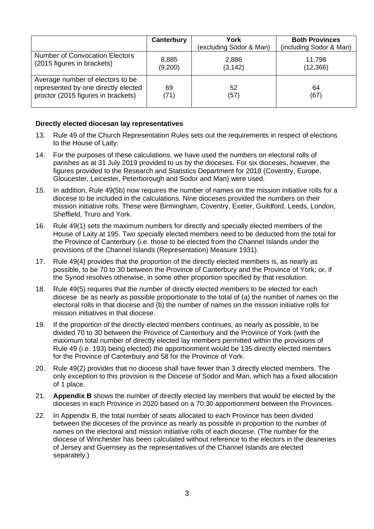|                                                                                                               | Canterbury       | York<br>(excluding Sodor & Man) | <b>Both Provinces</b><br>(including Sodor & Man) |
|---------------------------------------------------------------------------------------------------------------|------------------|---------------------------------|--------------------------------------------------|
| <b>Number of Convocation Electors</b><br>(2015 figures in brackets)                                           | 8,885<br>(9,200) | 2,886<br>(3, 142)               | 11,798<br>(12, 366)                              |
| Average number of electors to be<br>represented by one directly elected<br>proctor (2015 figures in brackets) | 69<br>(71)       | 52<br>(57)                      | 64<br>(67)                                       |

#### **Directly elected diocesan lay representatives**

- 13. Rule 49 of the Church Representation Rules sets out the requirements in respect of elections to the House of Laity.
- 14. For the purposes of these calculations, we have used the numbers on electoral rolls of parishes as at 31 July 2019 provided to us by the dioceses. For six dioceses, however, the figures provided to the Research and Statistics Department for 2018 (Coventry, Europe, Gloucester, Leicester, Peterborough and Sodor and Man) were used.
- 15. In addition, Rule 49(5b) now requires the number of names on the mission initiative rolls for a diocese to be included in the calculations. Nine dioceses provided the numbers on their mission initiative rolls. These were Birmingham, Coventry, Exeter, Guildford, Leeds, London, Sheffield, Truro and York.
- 16. Rule 49(1) sets the maximum numbers for directly and specially elected members of the House of Laity at 195. Two *specially* elected members need to be deducted from the total for the Province of Canterbury (i.e. those to be elected from the Channel Islands under the provisions of the Channel Islands (Representation) Measure 1931).
- 17. Rule 49(4) provides that the proportion of the directly elected members is, as nearly as possible, to be 70 to 30 between the Province of Canterbury and the Province of York; or, if the Synod resolves otherwise, in some other proportion specified by that resolution.
- 18. Rule 49(5) requires that the number of directly elected members to be elected for each diocese be as nearly as possible proportionate to the total of (a) the number of names on the electoral rolls in that diocese and (b) the number of names on the mission initiative rolls for mission initiatives in that diocese.
- 19. If the proportion of the directly elected members continues, as nearly as possible, to be divided 70 to 30 between the Province of Canterbury and the Province of York (with the maximum total number of directly elected lay members permitted within the provisions of Rule 49 (i.e. 193) being elected) the apportionment would be 135 directly elected members for the Province of Canterbury and 58 for the Province of York.
- 20. Rule 49(2) provides that no diocese shall have fewer than 3 directly elected members. The only exception to this provision is the Diocese of Sodor and Man, which has a fixed allocation of 1 place.
- 21. **Appendix B** shows the number of directly elected lay members that would be elected by the dioceses in each Province in 2020 based on a 70:30 apportionment between the Provinces.
- 22. In Appendix B, the total number of seats allocated to each Province has been divided between the dioceses of the province as nearly as possible in proportion to the number of names on the electoral and mission initiative rolls of each diocese. (The number for the diocese of Winchester has been calculated without reference to the electors in the deaneries of Jersey and Guernsey as the representatives of the Channel Islands are elected separately.)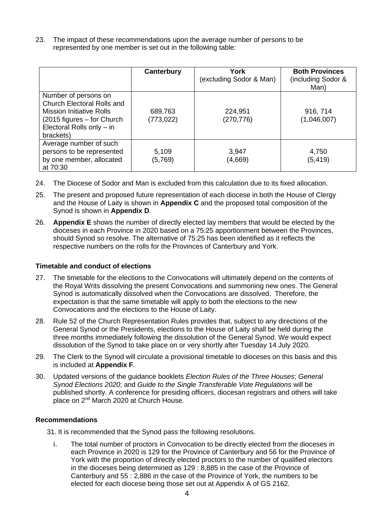23. The impact of these recommendations upon the average number of persons to be represented by one member is set out in the following table:

|                                                                                                                                                                          | <b>Canterbury</b>     | York<br>(excluding Sodor & Man) | <b>Both Provinces</b><br>(including Sodor &<br>Man) |
|--------------------------------------------------------------------------------------------------------------------------------------------------------------------------|-----------------------|---------------------------------|-----------------------------------------------------|
| Number of persons on<br><b>Church Electoral Rolls and</b><br><b>Mission Initiative Rolls</b><br>$(2015$ figures $-$ for Church<br>Electoral Rolls only - in<br>brackets) | 689,763<br>(773, 022) | 224,951<br>(270, 776)           | 916, 714<br>(1,046,007)                             |
| Average number of such<br>persons to be represented<br>by one member, allocated<br>at 70:30                                                                              | 5,109<br>(5,769)      | 3,947<br>(4,669)                | 4,750<br>(5, 419)                                   |

- 24. The Diocese of Sodor and Man is excluded from this calculation due to its fixed allocation.
- 25. The present and proposed future representation of each diocese in both the House of Clergy and the House of Laity is shown in **Appendix C** and the proposed total composition of the Synod is shown in **Appendix D**.
- 26. **Appendix E** shows the number of directly elected lay members that would be elected by the dioceses in each Province in 2020 based on a 75:25 apportionment between the Provinces, should Synod so resolve. The alternative of 75:25 has been identified as it reflects the respective numbers on the rolls for the Provinces of Canterbury and York.

## **Timetable and conduct of elections**

- 27. The timetable for the elections to the Convocations will ultimately depend on the contents of the Royal Writs dissolving the present Convocations and summoning new ones. The General Synod is automatically dissolved when the Convocations are dissolved. Therefore, the expectation is that the same timetable will apply to both the elections to the new Convocations and the elections to the House of Laity.
- 28. Rule 52 of the Church Representation Rules provides that, subject to any directions of the General Synod or the Presidents, elections to the House of Laity shall be held during the three months immediately following the dissolution of the General Synod. We would expect dissolution of the Synod to take place on or very shortly after Tuesday 14 July 2020.
- 29. The Clerk to the Synod will circulate a provisional timetable to dioceses on this basis and this is included at **Appendix F**.
- 30. Updated versions of the guidance booklets *Election Rules of the Three Houses*; *General Synod Elections 2020*; and *Guide to the Single Transferable Vote Regulations* will be published shortly. A conference for presiding officers, diocesan registrars and others will take place on 2nd March 2020 at Church House.

## **Recommendations**

- 31. It is recommended that the Synod pass the following resolutions.
	- i. The total number of proctors in Convocation to be directly elected from the dioceses in each Province in 2020 is 129 for the Province of Canterbury and 56 for the Province of York with the proportion of directly elected proctors to the number of qualified electors in the dioceses being determined as 129 : 8,885 in the case of the Province of Canterbury and 55 : 2,886 in the case of the Province of York, the numbers to be elected for each diocese being those set out at Appendix A of GS 2162.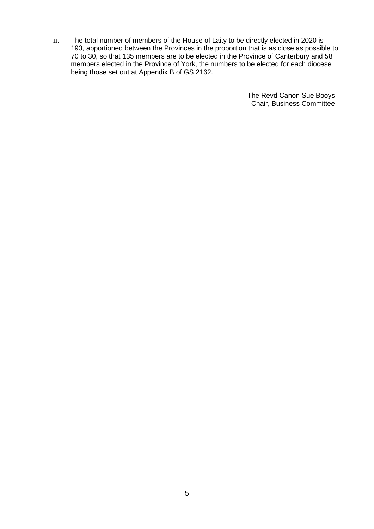ii. The total number of members of the House of Laity to be directly elected in 2020 is 193, apportioned between the Provinces in the proportion that is as close as possible to 70 to 30, so that 135 members are to be elected in the Province of Canterbury and 58 members elected in the Province of York, the numbers to be elected for each diocese being those set out at Appendix B of GS 2162.

> The Revd Canon Sue Booys Chair, Business Committee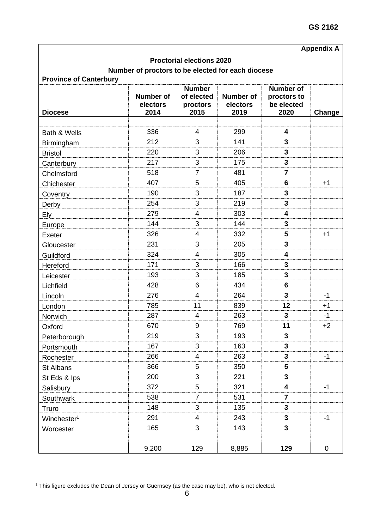# **Appendix A**

## **Proctorial elections 2020**

# **Number of proctors to be elected for each diocese**

| <b>Diocese</b>          | <b>Number of</b><br>electors<br>2014 | <b>Number</b><br>of elected<br>proctors<br>2015 | <b>Number of</b><br>electors<br>2019 | <b>Number of</b><br>proctors to<br>be elected<br>2020 | Change |
|-------------------------|--------------------------------------|-------------------------------------------------|--------------------------------------|-------------------------------------------------------|--------|
|                         |                                      |                                                 |                                      |                                                       |        |
| Bath & Wells            | 336                                  | 4                                               | 299                                  | 4                                                     |        |
| Birmingham              | 212                                  | 3                                               | 141                                  | $\overline{\mathbf{3}}$                               |        |
| <b>Bristol</b>          | 220                                  | 3                                               | 206                                  | 3                                                     |        |
| Canterbury              | 217                                  | 3                                               | 175                                  | 3                                                     |        |
| Chelmsford              | 518                                  | $\overline{7}$                                  | 481                                  | $\overline{7}$                                        |        |
| Chichester              | 407                                  | 5                                               | 405                                  | 6                                                     | $+1$   |
| Coventry                | 190                                  | 3                                               | 187                                  | 3                                                     |        |
| Derby                   | 254                                  | 3                                               | 219                                  | $\overline{\mathbf{3}}$                               |        |
| <b>Ely</b>              | 279                                  | $\overline{4}$                                  | 303                                  | 4                                                     |        |
| Europe                  | 144                                  | 3                                               | 144                                  | 3                                                     |        |
| Exeter                  | 326                                  | $\overline{4}$                                  | 332                                  | 5                                                     | $+1$   |
| Gloucester              | 231                                  | 3                                               | 205                                  | 3                                                     |        |
| Guildford               | 324                                  | $\overline{\mathcal{A}}$                        | 305                                  | $\overline{\mathbf{4}}$                               |        |
| Hereford                | 171                                  | 3                                               | 166                                  | 3                                                     |        |
| Leicester               | 193                                  | 3                                               | 185                                  | $\overline{\mathbf{3}}$                               |        |
| Lichfield               | 428                                  | 6                                               | 434                                  | 6                                                     |        |
| Lincoln                 | 276                                  | $\overline{4}$                                  | 264                                  | 3                                                     | $-1$   |
| London                  | 785                                  | 11                                              | 839                                  | 12                                                    | $+1$   |
| Norwich                 | 287                                  | $\overline{\mathcal{A}}$                        | 263                                  | 3                                                     | $-1$   |
| Oxford                  | 670                                  | $\boldsymbol{9}$                                | 769                                  | 11                                                    | $+2$   |
| Peterborough            | 219                                  | 3                                               | 193                                  | 3                                                     |        |
| Portsmouth              | 167                                  | 3                                               | 163                                  | $\mathbf{3}$                                          |        |
| Rochester               | 266                                  | 4                                               | 263                                  | 3                                                     | $-1$   |
| St Albans               | 366                                  | 5                                               | 350                                  | 5                                                     |        |
| St Eds & Ips            | 200                                  | 3                                               | 221                                  | 3                                                     |        |
| Salisbury               | 372                                  | 5                                               | 321                                  | 4                                                     | $-1$   |
| Southwark               | 538                                  | $\overline{7}$                                  | 531                                  | $\overline{7}$                                        |        |
| Truro                   | 148                                  | 3                                               | 135                                  | 3                                                     |        |
| Winchester <sup>1</sup> | 291                                  | $\overline{4}$                                  | 243                                  | $\mathbf{3}$                                          | $-1$   |
| Worcester               | 165                                  | 3                                               | 143                                  | 3                                                     |        |
|                         |                                      |                                                 |                                      |                                                       |        |
|                         | 9,200                                | 129                                             | 8,885                                | 129                                                   | 0      |

<sup>1</sup> This figure excludes the Dean of Jersey or Guernsey (as the case may be), who is not elected.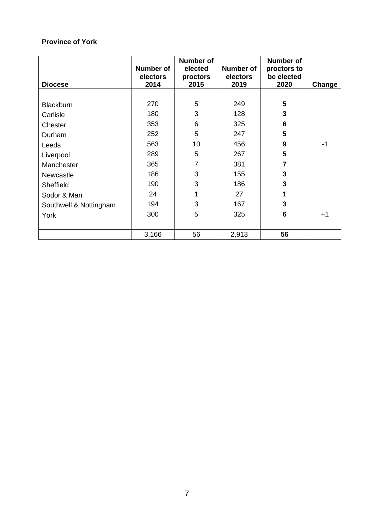| <b>Diocese</b>         | Number of<br>electors<br>2014 | Number of<br>elected<br>proctors<br>2015 | Number of<br>electors<br>2019 | Number of<br>proctors to<br>be elected<br>2020 | Change |
|------------------------|-------------------------------|------------------------------------------|-------------------------------|------------------------------------------------|--------|
|                        |                               |                                          |                               |                                                |        |
| <b>Blackburn</b>       | 270                           | 5                                        | 249                           | 5                                              |        |
| Carlisle               | 180                           | 3                                        | 128                           | 3                                              |        |
| Chester                | 353                           | 6                                        | 325                           | $6\phantom{1}6$                                |        |
| Durham                 | 252                           | 5                                        | 247                           | 5                                              |        |
| Leeds                  | 563                           | 10                                       | 456                           | $\boldsymbol{9}$                               | $-1$   |
| Liverpool              | 289                           | 5                                        | 267                           | 5                                              |        |
| Manchester             | 365                           | 7                                        | 381                           | $\overline{7}$                                 |        |
| Newcastle              | 186                           | 3                                        | 155                           | 3                                              |        |
| Sheffield              | 190                           | 3                                        | 186                           | 3                                              |        |
| Sodor & Man            | 24                            | 1                                        | 27                            | 1                                              |        |
| Southwell & Nottingham | 194                           | 3                                        | 167                           | 3                                              |        |
| York                   | 300                           | 5                                        | 325                           | 6                                              | $+1$   |
|                        |                               |                                          |                               |                                                |        |
|                        | 3,166                         | 56                                       | 2,913                         | 56                                             |        |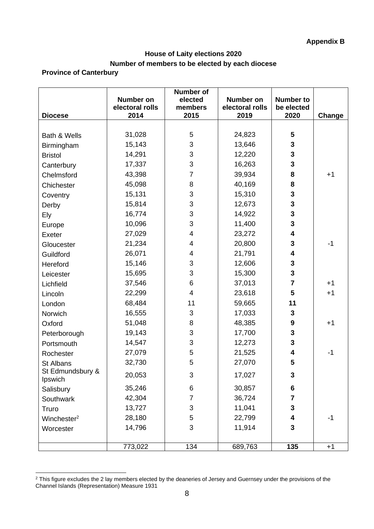# **House of Laity elections 2020 Number of members to be elected by each diocese**

|                             | <b>Number on</b>        | <b>Number of</b><br>elected | Number on               | <b>Number to</b>        |        |
|-----------------------------|-------------------------|-----------------------------|-------------------------|-------------------------|--------|
| <b>Diocese</b>              | electoral rolls<br>2014 | members<br>2015             | electoral rolls<br>2019 | be elected<br>2020      | Change |
|                             |                         |                             |                         |                         |        |
| Bath & Wells                | 31,028                  | $\sqrt{5}$                  | 24,823                  | $\overline{\mathbf{5}}$ |        |
| Birmingham                  | 15,143                  | $\ensuremath{\mathsf{3}}$   | 13,646                  | 3                       |        |
| <b>Bristol</b>              | 14,291                  | 3                           | 12,220                  | 3                       |        |
| Canterbury                  | 17,337                  | 3                           | 16,263                  | 3                       |        |
| Chelmsford                  | 43,398                  | 7                           | 39,934                  | 8                       | $+1$   |
| Chichester                  | 45,098                  | 8                           | 40,169                  | 8                       |        |
| Coventry                    | 15,131                  | 3                           | 15,310                  | 3                       |        |
| Derby                       | 15,814                  | $\mathsf 3$                 | 12,673                  | 3                       |        |
| Ely                         | 16,774                  | 3                           | 14,922                  | 3                       |        |
| Europe                      | 10,096                  | $\mathsf 3$                 | 11,400                  | 3                       |        |
| Exeter                      | 27,029                  | 4                           | 23,272                  | 4                       |        |
| Gloucester                  | 21,234                  | 4                           | 20,800                  | 3                       | $-1$   |
| Guildford                   | 26,071                  | 4                           | 21,791                  | 4                       |        |
| Hereford                    | 15,146                  | $\mathsf 3$                 | 12,606                  | $\mathbf{3}$            |        |
| Leicester                   | 15,695                  | 3                           | 15,300                  | 3                       |        |
| Lichfield                   | 37,546                  | 6                           | 37,013                  | $\overline{7}$          | $+1$   |
| Lincoln                     | 22,299                  | 4                           | 23,618                  | 5                       | $+1$   |
| London                      | 68,484                  | 11                          | 59,665                  | 11                      |        |
| Norwich                     | 16,555                  | 3                           | 17,033                  | 3                       |        |
| Oxford                      | 51,048                  | 8                           | 48,385                  | $\boldsymbol{9}$        | $+1$   |
| Peterborough                | 19,143                  | $\mathsf 3$                 | 17,700                  | $\mathbf{3}$            |        |
| Portsmouth                  | 14,547                  | 3                           | 12,273                  | 3                       |        |
| Rochester                   | 27,079                  | 5                           | 21,525                  | 4                       | $-1$   |
| St Albans                   | 32,730                  | 5                           | 27,070                  | 5                       |        |
| St Edmundsbury &<br>Ipswich | 20,053                  | 3                           | 17,027                  | $\mathbf{3}$            |        |
| Salisbury                   | 35,246                  | 6                           | 30,857                  | 6                       |        |
| Southwark                   | 42,304                  | 7                           | 36,724                  | $\overline{\mathbf{7}}$ |        |
| Truro                       | 13,727                  | 3                           | 11,041                  | 3                       |        |
| Winchester <sup>2</sup>     | 28,180                  | 5                           | 22,799                  | 4                       | $-1$   |
| Worcester                   | 14,796                  | 3                           | 11,914                  | 3                       |        |
|                             | 773,022                 | 134                         | 689,763                 | 135                     | $+1$   |

 $2$  This figure excludes the 2 lay members elected by the deaneries of Jersey and Guernsey under the provisions of the Channel Islands (Representation) Measure 1931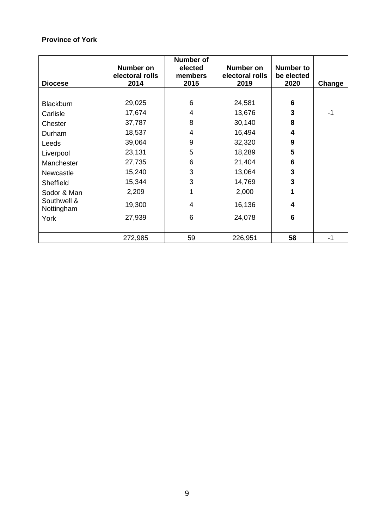| <b>Diocese</b>            | <b>Number on</b><br>electoral rolls<br>2014 | <b>Number of</b><br>elected<br>members<br>2015 | <b>Number on</b><br>electoral rolls<br>2019 | <b>Number to</b><br>be elected<br>2020 | Change |
|---------------------------|---------------------------------------------|------------------------------------------------|---------------------------------------------|----------------------------------------|--------|
|                           |                                             |                                                |                                             |                                        |        |
| <b>Blackburn</b>          | 29,025                                      | 6                                              | 24,581                                      | 6                                      |        |
| Carlisle                  | 17,674                                      | 4                                              | 13,676                                      | 3                                      | -1     |
| Chester                   | 37,787                                      | 8                                              | 30,140                                      | 8                                      |        |
| Durham                    | 18,537                                      | 4                                              | 16,494                                      | 4                                      |        |
| Leeds                     | 39,064                                      | 9                                              | 32,320                                      | 9                                      |        |
| Liverpool                 | 23,131                                      | 5                                              | 18,289                                      | 5                                      |        |
| Manchester                | 27,735                                      | 6                                              | 21,404                                      | 6                                      |        |
| Newcastle                 | 15,240                                      | 3                                              | 13,064                                      | 3                                      |        |
| Sheffield                 | 15,344                                      | 3                                              | 14,769                                      | 3                                      |        |
| Sodor & Man               | 2,209                                       |                                                | 2,000                                       | 1                                      |        |
| Southwell &<br>Nottingham | 19,300                                      | $\overline{4}$                                 | 16,136                                      | 4                                      |        |
| York                      | 27,939                                      | 6                                              | 24,078                                      | 6                                      |        |
|                           | 272,985                                     | 59                                             | 226,951                                     | 58                                     | -1     |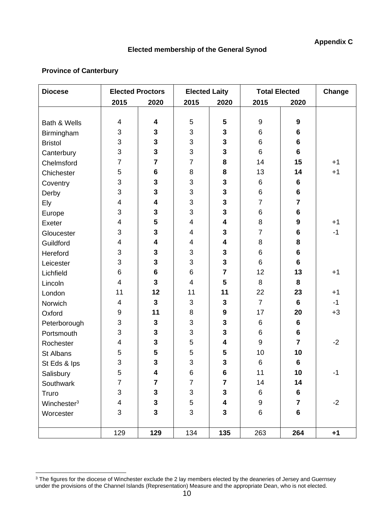# **Elected membership of the General Synod**

| <b>Diocese</b>          | <b>Elected Proctors</b> |                         | <b>Elected Laity</b> |                         | <b>Total Elected</b> | Change           |      |
|-------------------------|-------------------------|-------------------------|----------------------|-------------------------|----------------------|------------------|------|
|                         | 2015                    | 2020                    | 2015                 | 2020                    | 2015                 | 2020             |      |
|                         |                         |                         |                      |                         |                      |                  |      |
| Bath & Wells            | 4                       | $\overline{\mathbf{4}}$ | 5                    | $5\phantom{1}$          | $\boldsymbol{9}$     | $\boldsymbol{9}$ |      |
| Birmingham              | 3                       | $\mathbf{3}$            | 3                    | $\mathbf{3}$            | 6                    | $6\phantom{1}$   |      |
| <b>Bristol</b>          | 3                       | 3                       | 3                    | $\mathbf{3}$            | 6                    | $6\phantom{1}$   |      |
| Canterbury              | 3                       | $\overline{\mathbf{3}}$ | 3                    | $\overline{\mathbf{3}}$ | 6                    | $6\phantom{1}$   |      |
| Chelmsford              | $\overline{7}$          | $\overline{7}$          | $\overline{7}$       | 8                       | 14                   | 15               | $+1$ |
| Chichester              | 5                       | $6\phantom{1}$          | 8                    | 8                       | 13                   | 14               | $+1$ |
| Coventry                | 3                       | $\mathbf{3}$            | 3                    | $\mathbf{3}$            | 6                    | $6\phantom{1}$   |      |
| Derby                   | 3                       | $\mathbf{3}$            | 3                    | $\mathbf{3}$            | 6                    | $6\phantom{1}$   |      |
| Ely                     | 4                       | 4                       | 3                    | $\mathbf{3}$            | $\overline{7}$       | $\overline{7}$   |      |
| Europe                  | 3                       | $\mathbf{3}$            | 3                    | $\mathbf{3}$            | 6                    | $6\phantom{1}$   |      |
| Exeter                  | 4                       | 5                       | 4                    | $\overline{\mathbf{4}}$ | 8                    | $\boldsymbol{9}$ | $+1$ |
| Gloucester              | 3                       | $\mathbf{3}$            | 4                    | $\mathbf{3}$            | $\overline{7}$       | $6\phantom{1}$   | $-1$ |
| Guildford               | $\overline{\mathbf{4}}$ | $\overline{\mathbf{4}}$ | 4                    | $\overline{\mathbf{4}}$ | 8                    | 8                |      |
| Hereford                | 3                       | 3                       | 3                    | $\mathbf{3}$            | 6                    | $6\phantom{1}$   |      |
| Leicester               | 3                       | $\mathbf{3}$            | 3                    | $\overline{\mathbf{3}}$ | 6                    | $6\phantom{1}$   |      |
| Lichfield               | 6                       | $6\phantom{1}$          | 6                    | $\overline{7}$          | 12                   | 13               | $+1$ |
| Lincoln                 | 4                       | $\mathbf{3}$            | 4                    | 5                       | 8                    | 8                |      |
| London                  | 11                      | 12                      | 11                   | 11                      | 22                   | 23               | $+1$ |
| Norwich                 | 4                       | $\overline{3}$          | $\mathsf 3$          | $\mathbf{3}$            | $\overline{7}$       | $6\phantom{1}$   | $-1$ |
| Oxford                  | 9                       | 11                      | 8                    | $\boldsymbol{9}$        | 17                   | 20               | $+3$ |
| Peterborough            | 3                       | 3                       | 3                    | $\mathbf{3}$            | 6                    | 6                |      |
| Portsmouth              | 3                       | $\mathbf{3}$            | 3                    | $\mathbf{3}$            | 6                    | $6\phantom{a}$   |      |
| Rochester               | 4                       | 3                       | 5                    | $\overline{\mathbf{4}}$ | 9                    | $\overline{7}$   | $-2$ |
| St Albans               | 5                       | 5                       | $\mathbf 5$          | 5                       | 10                   | 10               |      |
| St Eds & Ips            | 3                       | 3                       | 3                    | $\overline{\mathbf{3}}$ | 6                    | $6\phantom{1}6$  |      |
| Salisbury               | 5                       | 4                       | 6                    | $\bf 6$                 | 11                   | 10               | $-1$ |
| Southwark               | $\overline{7}$          | $\overline{7}$          | $\overline{7}$       | $\overline{7}$          | 14                   | 14               |      |
| Truro                   | 3                       | $\mathbf{3}$            | 3                    | $\mathbf{3}$            | 6                    | 6                |      |
| Winchester <sup>3</sup> | $\overline{\mathbf{4}}$ | $\mathbf{3}$            | 5                    | $\overline{\mathbf{4}}$ | 9                    | $\overline{7}$   | $-2$ |
| Worcester               | 3                       | $\mathbf{3}$            | 3                    | $\mathbf{3}$            | $\,6\,$              | $6\phantom{a}$   |      |
|                         |                         |                         |                      |                         |                      |                  |      |
|                         | 129                     | 129                     | 134                  | 135                     | 263                  | 264              | $+1$ |

 $3$  The figures for the diocese of Winchester exclude the 2 lay members elected by the deaneries of Jersey and Guernsey under the provisions of the Channel Islands (Representation) Measure and the appropriate Dean, who is not elected.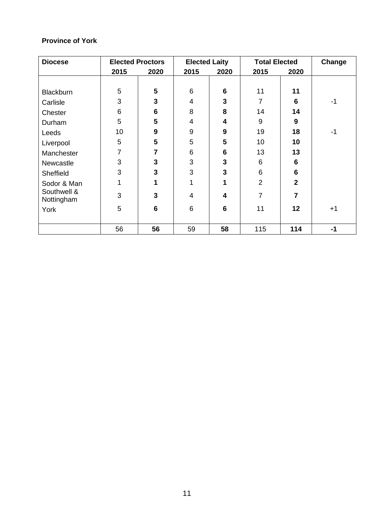| <b>Diocese</b>            |                | <b>Elected Proctors</b><br><b>Elected Laity</b> |                |      | <b>Total Elected</b> |                | Change |
|---------------------------|----------------|-------------------------------------------------|----------------|------|----------------------|----------------|--------|
|                           | 2015           | 2020                                            | 2015           | 2020 | 2015                 | 2020           |        |
|                           |                |                                                 |                |      |                      |                |        |
| <b>Blackburn</b>          | 5              | 5                                               | 6              | 6    | 11                   | 11             |        |
| Carlisle                  | 3              | 3                                               | $\overline{4}$ | 3    | $\overline{7}$       | 6              | -1     |
| Chester                   | 6              | $6\phantom{1}$                                  | 8              | 8    | 14                   | 14             |        |
| Durham                    | 5              | 5                                               | $\overline{4}$ | 4    | 9                    | 9              |        |
| Leeds                     | 10             | 9                                               | 9              | 9    | 19                   | 18             | $-1$   |
| Liverpool                 | 5              | 5                                               | 5              | 5    | 10                   | 10             |        |
| Manchester                | $\overline{7}$ | $\overline{7}$                                  | 6              | 6    | 13                   | 13             |        |
| Newcastle                 | 3              | 3                                               | 3              | 3    | 6                    | 6              |        |
| Sheffield                 | 3              | 3                                               | 3              | 3    | 6                    | 6              |        |
| Sodor & Man               | 1              | 1                                               | 1              | 1    | $\overline{2}$       | $\overline{2}$ |        |
| Southwell &<br>Nottingham | 3              | 3                                               | 4              | 4    | $\overline{7}$       | 7              |        |
| York                      | 5              | $6\phantom{1}$                                  | 6              | 6    | 11                   | 12             | $+1$   |
|                           |                |                                                 |                |      |                      |                |        |
|                           | 56             | 56                                              | 59             | 58   | 115                  | 114            | $-1$   |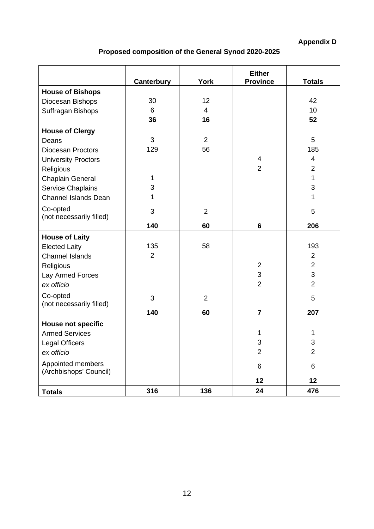**Appendix D**

# **Proposed composition of the General Synod 2020-2025**

|                                             | <b>Canterbury</b> | <b>York</b>    | <b>Either</b><br><b>Province</b> | <b>Totals</b>  |
|---------------------------------------------|-------------------|----------------|----------------------------------|----------------|
| <b>House of Bishops</b>                     |                   |                |                                  |                |
| Diocesan Bishops                            | 30                | 12             |                                  | 42             |
| Suffragan Bishops                           | 6                 | $\overline{4}$ |                                  | 10             |
|                                             | 36                | 16             |                                  | 52             |
| <b>House of Clergy</b>                      |                   |                |                                  |                |
| Deans                                       | 3                 | $\overline{2}$ |                                  | 5              |
| <b>Diocesan Proctors</b>                    | 129               | 56             |                                  | 185            |
| <b>University Proctors</b>                  |                   |                | 4                                | $\overline{4}$ |
| Religious                                   |                   |                | $\overline{2}$                   | $\overline{2}$ |
| Chaplain General                            | $\mathbf 1$       |                |                                  | 1              |
| <b>Service Chaplains</b>                    | 3                 |                |                                  | 3              |
| <b>Channel Islands Dean</b>                 | 1                 |                |                                  | 1              |
| Co-opted                                    | 3                 | $\overline{2}$ |                                  | 5              |
| (not necessarily filled)                    |                   |                |                                  |                |
|                                             | 140               | 60             | 6                                | 206            |
| <b>House of Laity</b>                       |                   |                |                                  |                |
| <b>Elected Laity</b>                        | 135               | 58             |                                  | 193            |
| <b>Channel Islands</b>                      | $\overline{2}$    |                |                                  | $\overline{2}$ |
| Religious                                   |                   |                | $\overline{2}$                   | $\overline{2}$ |
| Lay Armed Forces                            |                   |                | 3                                | 3              |
| ex officio                                  |                   |                | $\overline{2}$                   | $\overline{2}$ |
| Co-opted                                    | 3                 | $\overline{2}$ |                                  | 5              |
| (not necessarily filled)                    |                   |                |                                  |                |
|                                             | 140               | 60             | $\overline{7}$                   | 207            |
| <b>House not specific</b>                   |                   |                |                                  |                |
| <b>Armed Services</b>                       |                   |                | 1                                | 1              |
| <b>Legal Officers</b>                       |                   |                | 3                                | 3              |
| ex officio                                  |                   |                | $\overline{2}$                   | $\overline{2}$ |
| Appointed members<br>(Archbishops' Council) |                   |                | 6                                | $\,6$          |
|                                             |                   |                | 12                               | 12             |
| <b>Totals</b>                               | 316               | 136            | 24                               | 476            |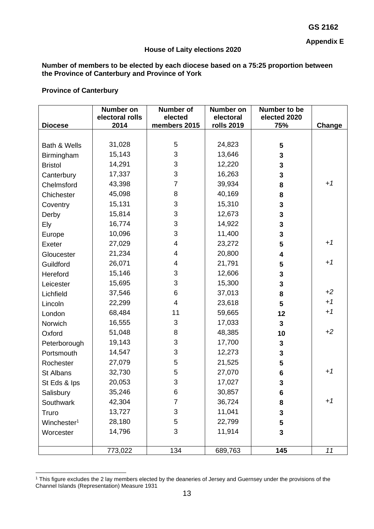**Appendix E**

### **House of Laity elections 2020**

## **Number of members to be elected by each diocese based on a 75:25 proportion between the Province of Canterbury and Province of York**

|                         | Number on<br>electoral rolls | <b>Number of</b><br>elected | <b>Number on</b><br>electoral | Number to be<br>elected 2020 |        |
|-------------------------|------------------------------|-----------------------------|-------------------------------|------------------------------|--------|
| <b>Diocese</b>          | 2014                         | members 2015                | <b>rolls 2019</b>             | 75%                          | Change |
|                         |                              |                             |                               |                              |        |
| Bath & Wells            | 31,028                       | 5                           | 24,823                        | 5                            |        |
| Birmingham              | 15,143                       | 3                           | 13,646                        | 3                            |        |
| <b>Bristol</b>          | 14,291                       | 3                           | 12,220                        | 3                            |        |
| Canterbury              | 17,337                       | 3                           | 16,263                        | 3                            |        |
| Chelmsford              | 43,398                       | $\overline{7}$              | 39,934                        | 8                            | $+1$   |
| Chichester              | 45,098                       | 8                           | 40,169                        | 8                            |        |
| Coventry                | 15,131                       | 3                           | 15,310                        | 3                            |        |
| Derby                   | 15,814                       | 3                           | 12,673                        | 3                            |        |
| Ely                     | 16,774                       | 3                           | 14,922                        | 3                            |        |
| Europe                  | 10,096                       | 3                           | 11,400                        | 3                            |        |
| Exeter                  | 27,029                       | $\overline{\mathcal{A}}$    | 23,272                        | 5                            | $+1$   |
| Gloucester              | 21,234                       | 4                           | 20,800                        | 4                            |        |
| Guildford               | 26,071                       | 4                           | 21,791                        | 5                            | $+1$   |
| Hereford                | 15,146                       | 3                           | 12,606                        | 3                            |        |
| Leicester               | 15,695                       | 3                           | 15,300                        | 3                            |        |
| Lichfield               | 37,546                       | 6                           | 37,013                        | 8                            | $+2$   |
| Lincoln                 | 22,299                       | $\overline{\mathcal{A}}$    | 23,618                        | 5                            | $+1$   |
| London                  | 68,484                       | 11                          | 59,665                        | 12                           | $+1$   |
| Norwich                 | 16,555                       | 3                           | 17,033                        | 3                            |        |
| Oxford                  | 51,048                       | 8                           | 48,385                        | 10                           | $+2$   |
| Peterborough            | 19,143                       | 3                           | 17,700                        | 3                            |        |
| Portsmouth              | 14,547                       | 3                           | 12,273                        | 3                            |        |
| Rochester               | 27,079                       | 5                           | 21,525                        | 5                            |        |
| St Albans               | 32,730                       | 5                           | 27,070                        | 6                            | $+1$   |
| St Eds & Ips            | 20,053                       | 3                           | 17,027                        | 3                            |        |
| Salisbury               | 35,246                       | 6                           | 30,857                        | 6                            |        |
| Southwark               | 42,304                       | $\overline{7}$              | 36,724                        | 8                            | $+1$   |
| Truro                   | 13,727                       | 3                           | 11,041                        | 3                            |        |
| Winchester <sup>1</sup> | 28,180                       | 5                           | 22,799                        | 5                            |        |
| Worcester               | 14,796                       | 3                           | 11,914                        | $\mathbf{3}$                 |        |
|                         |                              |                             |                               |                              |        |
|                         | 773,022                      | 134                         | 689,763                       | 145                          | 11     |

<sup>&</sup>lt;sup>1</sup> This figure excludes the 2 lay members elected by the deaneries of Jersey and Guernsey under the provisions of the Channel Islands (Representation) Measure 1931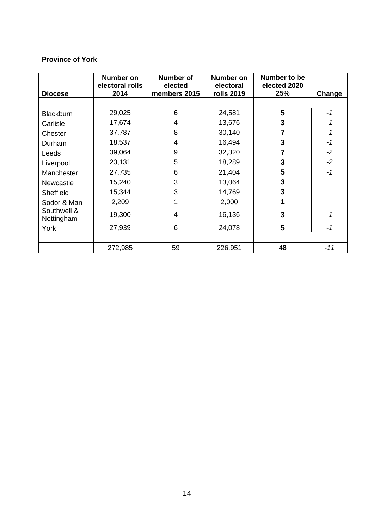|                  | <b>Number on</b><br>electoral rolls | <b>Number of</b><br>elected | <b>Number on</b><br>electoral | Number to be<br>elected 2020 |        |
|------------------|-------------------------------------|-----------------------------|-------------------------------|------------------------------|--------|
| <b>Diocese</b>   | 2014                                | members 2015                | <b>rolls 2019</b>             | 25%                          | Change |
|                  |                                     |                             |                               |                              |        |
| <b>Blackburn</b> | 29,025                              | 6                           | 24,581                        | 5                            | $-1$   |
| Carlisle         | 17,674                              | 4                           | 13,676                        | 3                            | -1     |
| Chester          | 37,787                              | 8                           | 30,140                        | 7                            | $-1$   |
| Durham           | 18,537                              | 4                           | 16,494                        | 3                            | $-1$   |
| Leeds            | 39,064                              | 9                           | 32,320                        |                              | $-2$   |
| Liverpool        | 23,131                              | 5                           | 18,289                        | 3                            | $-2$   |
| Manchester       | 27,735                              | 6                           | 21,404                        | 5                            | $-1$   |
| Newcastle        | 15,240                              | 3                           | 13,064                        | 3                            |        |
| Sheffield        | 15,344                              | 3                           | 14,769                        | 3                            |        |
| Sodor & Man      | 2,209                               |                             | 2,000                         |                              |        |
| Southwell &      | 19,300                              | 4                           | 16,136                        | 3                            | -1     |
| Nottingham       |                                     | 6                           |                               |                              |        |
| York             | 27,939                              |                             | 24,078                        | 5                            | -1     |
|                  | 272,985                             | 59                          | 226,951                       | 48                           | $-11$  |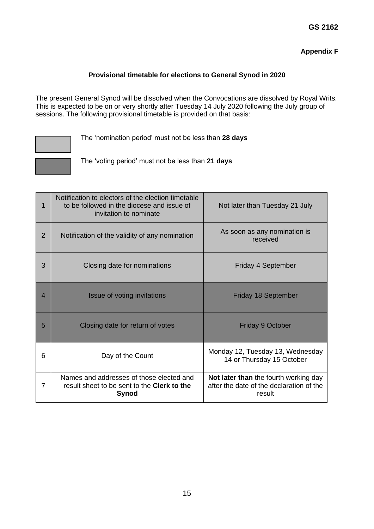# **Appendix F**

## **Provisional timetable for elections to General Synod in 2020**

The present General Synod will be dissolved when the Convocations are dissolved by Royal Writs. This is expected to be on or very shortly after Tuesday 14 July 2020 following the July group of sessions. The following provisional timetable is provided on that basis:



The 'nomination period' must not be less than **28 days**

The 'voting period' must not be less than **21 days**

| 1              | Notification to electors of the election timetable<br>to be followed in the diocese and issue of<br>invitation to nominate | Not later than Tuesday 21 July                                                              |
|----------------|----------------------------------------------------------------------------------------------------------------------------|---------------------------------------------------------------------------------------------|
| $\overline{2}$ | Notification of the validity of any nomination                                                                             | As soon as any nomination is<br>received                                                    |
| 3              | Closing date for nominations                                                                                               | Friday 4 September                                                                          |
| 4              | Issue of voting invitations                                                                                                | <b>Friday 18 September</b>                                                                  |
| 5              | Closing date for return of votes                                                                                           | <b>Friday 9 October</b>                                                                     |
| 6              | Day of the Count                                                                                                           | Monday 12, Tuesday 13, Wednesday<br>14 or Thursday 15 October                               |
| 7              | Names and addresses of those elected and<br>result sheet to be sent to the <b>Clerk to the</b><br>Synod                    | Not later than the fourth working day<br>after the date of the declaration of the<br>result |